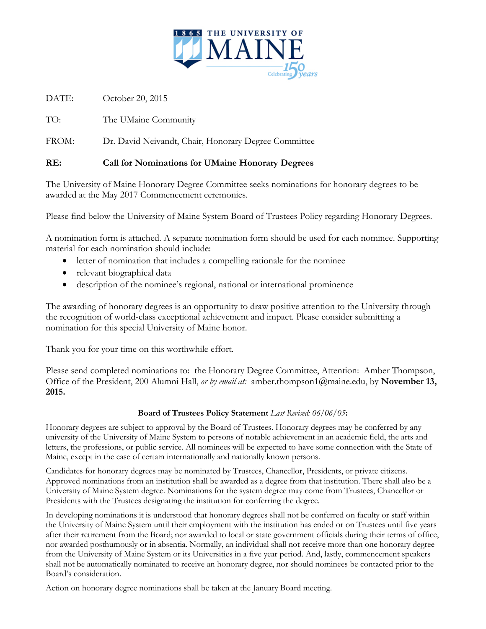

DATE: October 20, 2015

TO: The UMaine Community

FROM: Dr. David Neivandt, Chair, Honorary Degree Committee

## **RE: Call for Nominations for UMaine Honorary Degrees**

The University of Maine Honorary Degree Committee seeks nominations for honorary degrees to be awarded at the May 2017 Commencement ceremonies.

Please find below the University of Maine System Board of Trustees Policy regarding Honorary Degrees.

A nomination form is attached. A separate nomination form should be used for each nominee. Supporting material for each nomination should include:

- letter of nomination that includes a compelling rationale for the nominee
- relevant biographical data
- description of the nominee's regional, national or international prominence

The awarding of honorary degrees is an opportunity to draw positive attention to the University through the recognition of world-class exceptional achievement and impact. Please consider submitting a nomination for this special University of Maine honor.

Thank you for your time on this worthwhile effort.

Please send completed nominations to: the Honorary Degree Committee, Attention: Amber Thompson, Office of the President, 200 Alumni Hall, *or by email at:* amber.thompson1@maine.edu, by **November 13, 2015.**

## **Board of Trustees Policy Statement** *Last Revised: 06/06/05***:**

Honorary degrees are subject to approval by the Board of Trustees. Honorary degrees may be conferred by any university of the University of Maine System to persons of notable achievement in an academic field, the arts and letters, the professions, or public service. All nominees will be expected to have some connection with the State of Maine, except in the case of certain internationally and nationally known persons.

Candidates for honorary degrees may be nominated by Trustees, Chancellor, Presidents, or private citizens. Approved nominations from an institution shall be awarded as a degree from that institution. There shall also be a University of Maine System degree. Nominations for the system degree may come from Trustees, Chancellor or Presidents with the Trustees designating the institution for conferring the degree.

In developing nominations it is understood that honorary degrees shall not be conferred on faculty or staff within the University of Maine System until their employment with the institution has ended or on Trustees until five years after their retirement from the Board; nor awarded to local or state government officials during their terms of office, nor awarded posthumously or in absentia. Normally, an individual shall not receive more than one honorary degree from the University of Maine System or its Universities in a five year period. And, lastly, commencement speakers shall not be automatically nominated to receive an honorary degree, nor should nominees be contacted prior to the Board's consideration.

Action on honorary degree nominations shall be taken at the January Board meeting.